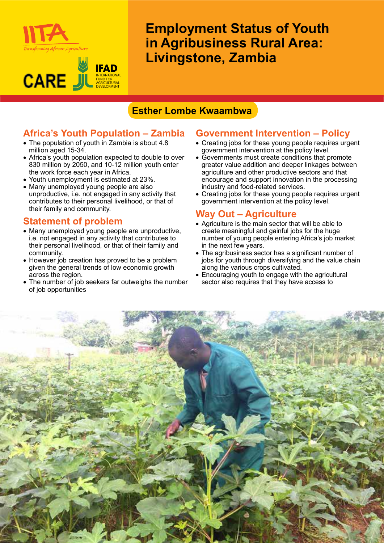



**Employment Status of Youth in Agribusiness Rural Area: Livingstone, Zambia**

# **Esther Lombe Kwaambwa**

## **Africa's Youth Population – Zambia**

- The population of youth in Zambia is about 4.8 million aged 15-34.
- Africa's youth population expected to double to over 830 million by 2050, and 10-12 million youth enter the work force each year in Africa.
- • Youth unemployment is estimated at 23%.
- Many unemployed young people are also unproductive, i.e. not engaged in any activity that contributes to their personal livelihood, or that of their family and community.

#### **Statement of problem**

- Many unemployed young people are unproductive, i.e. not engaged in any activity that contributes to their personal livelihood, or that of their family and community.
- However job creation has proved to be a problem given the general trends of low economic growth across the region.
- The number of job seekers far outweighs the number of job opportunities

# **Government Intervention – Policy**

- Creating jobs for these young people requires urgent government intervention at the policy level.
- Governments must create conditions that promote greater value addition and deeper linkages between agriculture and other productive sectors and that encourage and support innovation in the processing industry and food-related services.
- Creating jobs for these young people requires urgent government intervention at the policy level.

#### **Way Out – Agriculture**

- Agriculture is the main sector that will be able to create meaningful and gainful jobs for the huge number of young people entering Africa's job market in the next few years.
- The agribusiness sector has a significant number of jobs for youth through diversifying and the value chain along the various crops cultivated.
- Encouraging youth to engage with the agricultural sector also requires that they have access to